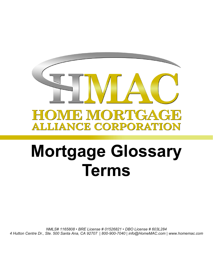

# **Mortgage Glossary Terms**

*NMLS# 1165808 • BRE License # 01526821 • DBO License # 603L284 4 Hutton Centre Dr., Ste. 500 Santa Ana, CA 92707 | 800-900-7040 | info@HomeMAC.com | www.homemac.com*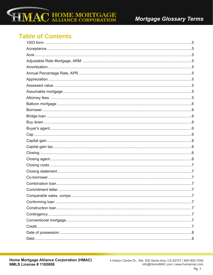

# **Table of Contents**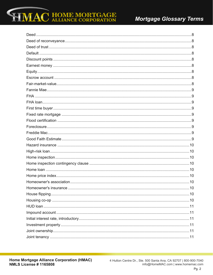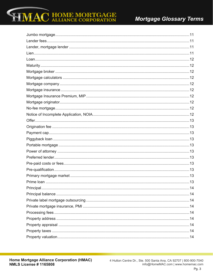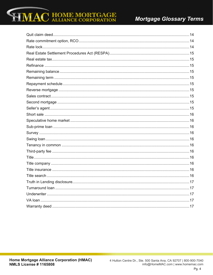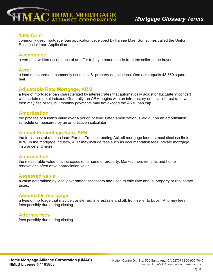

#### <span id="page-5-0"></span>**1003 form**

commonly used mortgage loan application developed by Fannie Mae. Sometimes called the Uniform Residential Loan Application.

### <span id="page-5-1"></span>**Acceptance**

a verbal or written acceptance of an offer to buy a home, made from the seller to the buyer.

#### <span id="page-5-2"></span>**Acre**

a land measurement commonly used in U.S. property negotiations. One acre equals 43,560 square feet.

# <span id="page-5-3"></span>**Adjustable Rate Mortgage, ARM**

a type of mortgage loan characterized by interest rates that automatically adjust or fluctuate in concert with certain market indexes. Generally, an ARM begins with an introductory or initial interest rate, which then may rise or fall, but monthly payments may not exceed the ARM loan cap.

### <span id="page-5-4"></span>**Amortization**

the process of a loan's value over a period of time. Often amortization is laid out on an amortization schedule or measured by an amortization calculator.

### <span id="page-5-5"></span>**Annual Percentage Rate, APR**

the truest cost of a home loan. Per the Truth in Lending Act, all mortgage lenders must disclose their APR. In the mortgage industry, APR may include fees such as documentation fees, private mortgage insurance and more.

#### <span id="page-5-6"></span>**Appreciation**

the measurable value that increases on a home or property. Market improvements and home renovations often drive appreciation value.

#### <span id="page-5-7"></span>**Assessed value**

a value determined by local government assessors and used to calculate annual property or real estate taxes.

#### <span id="page-5-8"></span>**Assumable mortgage**

a type of mortgage that may be transferred, interest rate and all, from seller to buyer. Attorney fees fees possibly due during closing.

# <span id="page-5-9"></span>**Attorney fees**

fees possibly due during closing.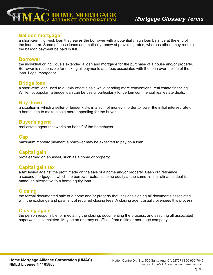

#### <span id="page-6-0"></span>**Balloon mortgage**

a short-term high-risk loan that leaves the borrower with a potentially high loan balance at the end of the loan term. Some of these loans automatically renew at prevailing rates, whereas others may require the balloon payment be paid in full.

#### <span id="page-6-1"></span>**Borrower**

the individual or individuals extended a loan and mortgage for the purchase of a house and/or property. Borrower is responsible for making all payments and fees associated with the loan over the life of the loan. Legal mortgagor.

#### <span id="page-6-2"></span>**Bridge loan**

a short-term loan used to quickly effect a sale while pending more conventional real estate financing. While not popular, a bridge loan can be useful particularly for certain commercial real estate deals.

#### <span id="page-6-3"></span>**Buy down**

a situation in which a seller or lender kicks in a sum of money in order to lower the initial interest rate on a home loan to make a sale more appealing for the buyer.

#### <span id="page-6-4"></span>**Buyer's agent**

real estate agent that works on behalf of the homebuyer.

#### <span id="page-6-5"></span>**Cap**

maximum monthly payment a borrower may be expected to pay on a loan.

# <span id="page-6-6"></span>**Capital gain**

profit earned on an asset, such as a home or property.

#### <span id="page-6-7"></span>**Capital gain tax**

a tax levied against the profit made on the sale of a home and/or property. Cash out refinance a second mortgage in which the borrower extracts home equity at the same time a refinance deal is made; an alternative to a home equity loan.

#### <span id="page-6-8"></span>**Closing**

the formal documented sale of a home and/or property that includes signing all documents associated with the exchange and payment of required closing fees. A closing agent usually oversees this process.

# <span id="page-6-9"></span>**Closing agent**

the person responsible for mediating the closing, documenting the process, and assuring all associated paperwork is completed. May be an attorney or official from a title or mortgage company.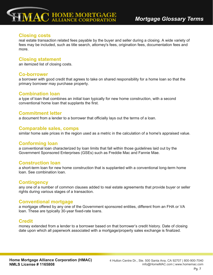

### <span id="page-7-0"></span>**Closing costs**

real estate transaction related fees payable by the buyer and seller during a closing. A wide variety of fees may be included, such as title search, attorney's fees, origination fees, documentation fees and more.

### <span id="page-7-1"></span>**Closing statement**

an itemized list of closing costs.

### <span id="page-7-2"></span>**Co-borrower**

a borrower with good credit that agrees to take on shared responsibility for a home loan so that the primary borrower may purchase property.

### <span id="page-7-3"></span>**Combination loan**

a type of loan that combines an initial loan typically for new home construction, with a second conventional home loan that supplants the first.

# <span id="page-7-4"></span>**Commitment letter**

a document from a lender to a borrower that officially lays out the terms of a loan.

#### <span id="page-7-5"></span>**Comparable sales, comps**

similar home sale prices in the region used as a metric in the calculation of a home's appraised value.

#### <span id="page-7-6"></span>**Conforming loan**

a conventional loan characterized by loan limits that fall within those guidelines laid out by the Government Sponsored Enterprises (GSEs) such as Freddie Mac and Fannie Mae.

#### <span id="page-7-7"></span>**Construction loan**

a short-term loan for new home construction that is supplanted with a conventional long-term home loan. See combination loan.

# <span id="page-7-8"></span>**Contingency**

any one of a number of common clauses added to real estate agreements that provide buyer or seller rights during various stages of a transaction.

#### <span id="page-7-9"></span>**Conventional mortgage**

a mortgage offered by any one of the Government sponsored entities, different from an FHA or VA loan. These are typically 30-year fixed-rate loans.

# <span id="page-7-10"></span>**Credit**

money extended from a lender to a borrower based on that borrower's credit history. Date of closing date upon which all paperwork associated with a mortgage/property sales exchange is finalized.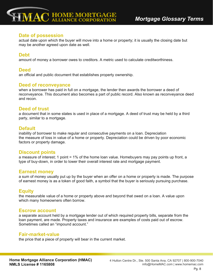



#### <span id="page-8-0"></span>**Date of possession**

actual date upon which the buyer will move into a home or property; it is usually the closing date but may be another agreed upon date as well.

# <span id="page-8-1"></span>**Debt**

amount of money a borrower owes to creditors. A metric used to calculate creditworthiness.

#### <span id="page-8-2"></span>**Deed**

an official and public document that establishes property ownership.

#### <span id="page-8-3"></span>**Deed of reconveyance**

when a borrower has paid in full on a mortgage, the lender then awards the borrower a deed of reconveyance. This document also becomes a part of public record. Also known as reconveyance deed and recon.

#### <span id="page-8-4"></span>**Deed of trust**

a document that in some states is used in place of a mortgage. A deed of trust may be held by a third party, similar to a mortgage.

#### <span id="page-8-5"></span>**Default**

inability of borrower to make regular and consecutive payments on a loan. Depreciation the measure of loss in value of a home or property. Depreciation could be driven by poor economic factors or property damage.

#### <span id="page-8-6"></span>**Discount points**

a measure of interest; 1 point = 1% of the home loan value. Homebuyers may pay points up front, a type of buy-down, in order to lower their overall interest rate and mortgage payment.

#### <span id="page-8-7"></span>**Earnest money**

a sum of money usually put up by the buyer when an offer on a home or property is made. The purpose of earnest money is as a token of good faith, a symbol that the buyer is seriously pursuing purchase.

#### <span id="page-8-8"></span>**Equity**

the measurable value of a home or property above and beyond that owed on a loan. A value upon which many homeowners often borrow.

#### <span id="page-8-9"></span>**Escrow account**

a separate account held by a mortgage lender out of which required property bills, separate from the loan payment, are made. Property taxes and insurance are examples of costs paid out of escrow. Sometimes called an "impound account."

#### <span id="page-8-10"></span>**Fair-market-value**

the price that a piece of property will bear in the current market.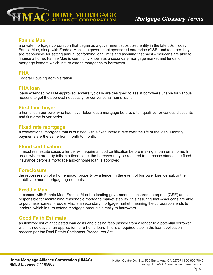

# <span id="page-9-0"></span>**Fannie Mae**

a private mortgage corporation that began as a government subsidized entity in the late 30s. Today, Fannie Mae, along with Freddie Mac, is a government sponsored enterprise (GSE) and together they are responsible for setting annual conforming loan limits and assuring that most Americans are able to finance a home. Fannie Mae is commonly known as a secondary mortgage market and lends to mortgage lenders which in turn extend mortgages to borrowers.

# <span id="page-9-1"></span>**FHA**

Federal Housing Administration.

# <span id="page-9-2"></span>**FHA loan**

loans extended by FHA-approved lenders typically are designed to assist borrowers unable for various reasons to get the approval necessary for conventional home loans.

### <span id="page-9-3"></span>**First time buyer**

a home loan borrower who has never taken out a mortgage before; often qualifies for various discounts and first-time buyer perks.

### <span id="page-9-4"></span>**Fixed rate mortgage**

a conventional mortgage that is outfitted with a fixed interest rate over the life of the loan. Monthly payments are the same from month to month.

# <span id="page-9-5"></span>**Flood certification**

in most real estate cases a lender will require a flood certification before making a loan on a home. In areas where property falls in a flood zone, the borrower may be required to purchase standalone flood insurance before a mortgage and/or home loan is approved.

# <span id="page-9-6"></span>**Foreclosure**

the repossession of a home and/or property by a lender in the event of borrower loan default or the inability to meet mortgage agreements.

# <span id="page-9-7"></span>**Freddie Mac**

in concert with Fannie Mae, Freddie Mac is a leading government sponsored enterprise (GSE) and is responsible for maintaining reasonable mortgage market stability, this assuring that Americans are able to purchase homes. Freddie Mac is a secondary mortgage market, meaning the corporation lends to lenders, which in turn extend mortgage products directly to borrowers.

# <span id="page-9-8"></span>**Good Faith Estimate**

an itemized list of anticipated loan costs and closing fees passed from a lender to a potential borrower within three days of an application for a home loan. This is a required step in the loan application process per the Real Estate Settlement Procedures Act.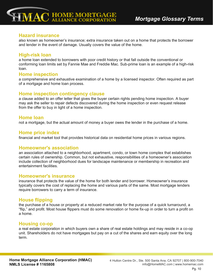# **IMAC HOME MORTGAGE**

#### <span id="page-10-0"></span>**Hazard insurance**

also known as homeowner's insurance; extra insurance taken out on a home that protects the borrower and lender in the event of damage. Usually covers the value of the home.

# <span id="page-10-1"></span>**High-risk loan**

a home loan extended to borrowers with poor credit history or that fall outside the conventional or conforming loan limits set by Fannie Mae and Freddie Mac. Sub-prime loan is an example of a high-risk loan.

#### <span id="page-10-2"></span>**Home inspection**

a comprehensive and exhaustive examination of a home by a licensed inspector. Often required as part of a mortgage and home loan process.

#### <span id="page-10-3"></span>**Home inspection contingency clause**

a clause added to an offer letter that gives the buyer certain rights pending home inspection. A buyer may ask the seller to repair defects discovered during the home inspection or even request release from the offer to buy in light of a home inspection.

### <span id="page-10-4"></span>**Home loan**

not a mortgage, but the actual amount of money a buyer owes the lender in the purchase of a home.

#### <span id="page-10-5"></span>**Home price index**

financial and market tool that provides historical data on residential home prices in various regions.

# <span id="page-10-6"></span>**Homeowner's association**

an association attached to a neighborhood, apartment, condo, or town home complex that establishes certain rules of ownership. Common, but not exhaustive, responsibilities of a homeowner's association include collection of neighborhood dues for landscape maintenance or membership in recreation and entertainment facilities.

#### <span id="page-10-7"></span>**Homeowner's insurance**

insurance that protects the value of the home for both lender and borrower. Homeowner's insurance typically covers the cost of replacing the home and various parts of the same. Most mortgage lenders require borrowers to carry a term of insurance.

#### <span id="page-10-8"></span>**House flipping**

the purchase of a house or property at a reduced market rate for the purpose of a quick turnaround, a "flip," and profit. Most house flippers must do some renovation or home fix-up in order to turn a profit on a home.

#### <span id="page-10-9"></span>**Housing co-op**

a real estate corporation in which buyers own a share of real estate holdings and may reside in a co-op unit. Shareholders do not have mortgages but pay on a cut of the shares and earn equity over the long term.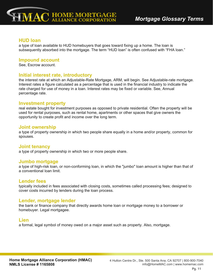

#### <span id="page-11-0"></span>**HUD loan**

a type of loan available to HUD homebuyers that goes toward fixing up a home. The loan is subsequently absorbed into the mortgage. The term "HUD loan" is often confused with "FHA loan."

#### <span id="page-11-1"></span>**Impound account**

See, Escrow account.

#### <span id="page-11-2"></span>**Initial interest rate, introductory**

the interest rate at which an Adjustable-Rate Mortgage, ARM, will begin. See Adjustable-rate mortgage. Interest rates a figure calculated as a percentage that is used in the financial industry to indicate the rate charged for use of money in a loan. Interest rates may be fixed or variable. See, Annual percentage rate.

#### <span id="page-11-3"></span>**Investment property**

real estate bought for investment purposes as opposed to private residential. Often the property will be used for rental purposes, such as rental home, apartments or other spaces that give owners the opportunity to create profit and income over the long term.

#### <span id="page-11-4"></span>**Joint ownership**

a type of property ownership in which two people share equally in a home and/or property, common for spouses.

#### <span id="page-11-5"></span>**Joint tenancy**

a type of property ownership in which two or more people share.

#### <span id="page-11-6"></span>**Jumbo mortgage**

a type of high-risk loan, or non-conforming loan, in which the "jumbo" loan amount is higher than that of a conventional loan limit.

# <span id="page-11-7"></span>**Lender fees**

typically included in fees associated with closing costs, sometimes called processing fees; designed to cover costs incurred by lenders during the loan process.

#### <span id="page-11-8"></span>**Lender, mortgage lender**

the bank or finance company that directly awards home loan or mortgage money to a borrower or homebuyer. Legal mortgagee.

#### <span id="page-11-9"></span>**Lien**

a formal, legal symbol of money owed on a major asset such as property. Also, mortgage.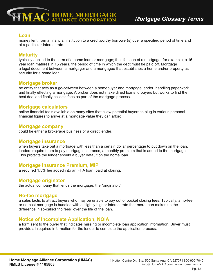

#### <span id="page-12-0"></span>**Loan**

money lent from a financial institution to a creditworthy borrower(s) over a specified period of time and at a particular interest rate.

#### <span id="page-12-1"></span>**Maturity**

typically applied to the term of a home loan or mortgage; the life span of a mortgage; for example, a 15 year loan matures in 15 years, the period of time in which the debt must be paid off. Mortgage a legal document between a mortgagor and a mortgagee that establishes a home and/or property as security for a home loan.

### <span id="page-12-2"></span>**Mortgage broker**

he entity that acts as a go-between between a homebuyer and mortgage lender, handling paperwork and finally effecting a mortgage. A broker does not make direct loans to buyers but works to find the best deal and finally collects fees as part of the mortgage process.

#### <span id="page-12-3"></span>**Mortgage calculators**

online financial tools available on many sites that allow potential buyers to plug in various personal financial figures to arrive at a mortgage value they can afford.

#### <span id="page-12-4"></span>**Mortgage company**

could be either a brokerage business or a direct lender.

#### <span id="page-12-5"></span>**Mortgage insurance**

when buyers take out a mortgage with less than a certain dollar percentage to put down on the loan, lenders require them to pay mortgage insurance, a monthly premium that is added to the mortgage. This protects the lender should a buyer default on the home loan.

#### <span id="page-12-6"></span>**Mortgage Insurance Premium, MIP**

a required 1.5% fee added into an FHA loan, paid at closing.

#### <span id="page-12-7"></span>**Mortgage originator**

the actual company that lends the mortgage, the "originator."

#### <span id="page-12-8"></span>**No-fee mortgage**

a sales tactic to attract buyers who may be unable to pay out of pocket closing fees. Typically, a no-fee or no-cost mortgage is bundled with a slightly higher interest rate that more than makes up the difference in so-called "no fees" over the life of the loan.

# <span id="page-12-9"></span>**Notice of Incomplete Application, NOIA**

a form sent to the buyer that indicates missing or incomplete loan application information. Buyer must provide all required information for the lender to complete the application process.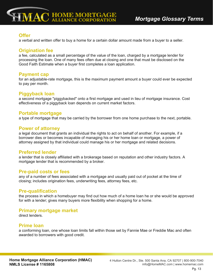# <span id="page-13-0"></span>**Offer**

a verbal and written offer to buy a home for a certain dollar amount made from a buyer to a seller.

# <span id="page-13-1"></span>**Origination fee**

a fee, calculated as a small percentage of the value of the loan, charged by a mortgage lender for processing the loan. One of many fees often due at closing and one that must be disclosed on the Good Faith Estimate when a buyer first completes a loan application.

# <span id="page-13-2"></span>**Payment cap**

for an adjustable-rate mortgage, this is the maximum payment amount a buyer could ever be expected to pay per month.

# <span id="page-13-3"></span>**Piggyback loan**

a second mortgage "piggybacked" onto a first mortgage and used in lieu of mortgage insurance. Cost effectiveness of a piggyback loan depends on current market factors.

# <span id="page-13-4"></span>**Portable mortgage**

a type of mortgage that may be carried by the borrower from one home purchase to the next, portable.

# <span id="page-13-5"></span>**Power of attorney**

a legal document that grants an individual the rights to act on behalf of another. For example, if a borrower dies or becomes incapable of managing his or her home loan or mortgage, a power of attorney assigned by that individual could manage his or her mortgage and related decisions.

# <span id="page-13-6"></span>**Preferred lender**

a lender that is closely affiliated with a brokerage based on reputation and other industry factors. A mortgage lender that is recommended by a broker.

# <span id="page-13-7"></span>**Pre-paid costs or fees**

any of a number of fees associated with a mortgage and usually paid out of pocket at the time of closing; includes origination fees, underwriting fees, attorney fees, etc.

# <span id="page-13-8"></span>**Pre-qualification**

the process in which a homebuyer may find out how much of a home loan he or she would be approved for with a lender; gives many buyers more flexibility when shopping for a home.

#### <span id="page-13-9"></span>**Primary mortgage market**

direct lenders.

#### <span id="page-13-10"></span>**Prime loan**

a conforming loan, one whose loan limits fall within those set by Fannie Mae or Freddie Mac and often awarded to borrowers with good credit.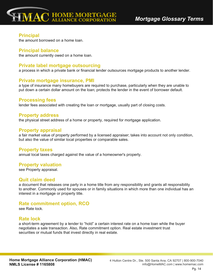

### <span id="page-14-0"></span>**Principal**

the amount borrowed on a home loan.

# <span id="page-14-1"></span>**Principal balance**

the amount currently owed on a home loan.

### <span id="page-14-2"></span>**Private label mortgage outsourcing**

a process in which a private bank or financial lender outsources mortgage products to another lender.

#### <span id="page-14-3"></span>**Private mortgage insurance, PMI**

a type of insurance many homebuyers are required to purchase, particularly when they are unable to put down a certain dollar amount on the loan; protects the lender in the event of borrower default.

#### <span id="page-14-4"></span>**Processing fees**

lender fees associated with creating the loan or mortgage, usually part of closing costs.

#### <span id="page-14-5"></span>**Property address**

the physical street address of a home or property, required for mortgage application.

# <span id="page-14-6"></span>**Property appraisal**

a fair market value of property performed by a licensed appraiser; takes into account not only condition, but also the value of similar local properties or comparable sales.

#### <span id="page-14-7"></span>**Property taxes**

annual local taxes charged against the value of a homeowner's property.

# <span id="page-14-8"></span>**Property valuation**

see Property appraisal.

#### <span id="page-14-9"></span>**Quit claim deed**

a document that releases one party in a home title from any responsibility and grants all responsibility to another. Commonly used for spouses or in family situations in which more than one individual has an interest in a mortgage or property title.

# <span id="page-14-10"></span>**Rate commitment option, RCO**

see Rate lock.

#### <span id="page-14-11"></span>**Rate lock**

a short-term agreement by a lender to "hold" a certain interest rate on a home loan while the buyer negotiates a sale transaction. Also, Rate commitment option. Real estate investment trust securities or mutual funds that invest directly in real estate.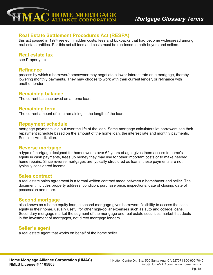# **HIMAC HOME MORTGAGE**

# <span id="page-15-0"></span>**Real Estate Settlement Procedures Act (RESPA)**

this act passed in 1974 reeled in hidden costs, fees and kickbacks that had become widespread among real estate entities. Per this act all fees and costs must be disclosed to both buyers and sellers.

# <span id="page-15-1"></span>**Real estate tax**

see Property tax.

### <span id="page-15-2"></span>**Refinance**

process by which a borrower/homeowner may negotiate a lower interest rate on a mortgage, thereby lowering monthly payments. They may choose to work with their current lender, or refinance with another lender.

# <span id="page-15-3"></span>**Remaining balance**

The current balance owed on a home loan.

# <span id="page-15-4"></span>**Remaining term**

The current amount of time remaining in the length of the loan.

### <span id="page-15-5"></span>**Repayment schedule**

mortgage payments laid out over the life of the loan. Some mortgage calculators let borrowers see their repayment schedule based on the amount of the home loan, the interest rate and monthly payments. See also Amortization.

#### <span id="page-15-6"></span>**Reverse mortgage**

a type of mortgage designed for homeowners over 62 years of age; gives them access to home's equity in cash payments, frees up money they may use for other important costs or to make needed home repairs. Since reverse mortgages are typically structured as loans, these payments are not typically considered income.

#### <span id="page-15-7"></span>**Sales contract**

a real estate sales agreement is a formal written contract made between a homebuyer and seller. The document includes property address, condition, purchase price, inspections, date of closing, date of possession and more.

#### <span id="page-15-8"></span>**Second mortgage**

also known as a home equity loan, a second mortgage gives borrowers flexibility to access the cash equity in their home, usually useful for other high-dollar expenses such as auto and college loans. Secondary mortgage market the segment of the mortgage and real estate securities market that deals in the investment of mortgages, not direct mortgage lenders.

# <span id="page-15-9"></span>**Seller's agent**

a real estate agent that works on behalf of the home seller.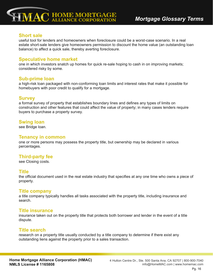

#### <span id="page-16-0"></span>**Short sale**

useful tool for lenders and homeowners when foreclosure could be a worst-case scenario. In a real estate short-sale lenders give homeowners permission to discount the home value (an outstanding loan balance) to affect a quick sale, thereby averting foreclosure.

#### <span id="page-16-1"></span>**Speculative home market**

one in which investors snatch up homes for quick re-sale hoping to cash in on improving markets; considered risky by some.

#### <span id="page-16-2"></span>**Sub-prime loan**

a high-risk loan packaged with non-conforming loan limits and interest rates that make it possible for homebuyers with poor credit to qualify for a mortgage.

#### <span id="page-16-3"></span>**Survey**

a formal survey of property that establishes boundary lines and defines any types of limits on construction and other features that could affect the value of property; in many cases lenders require buyers to purchase a property survey.

### <span id="page-16-4"></span>**Swing loan**

see Bridge loan.

#### <span id="page-16-5"></span>**Tenancy in common**

one or more persons may possess the property title, but ownership may be declared in various percentages.

#### <span id="page-16-6"></span>**Third-party fee**

see Closing costs.

#### <span id="page-16-7"></span>**Title**

the official document used in the real estate industry that specifies at any one time who owns a piece of property.

#### <span id="page-16-8"></span>**Title company**

a title company typically handles all tasks associated with the property title, including insurance and search.

#### <span id="page-16-9"></span>**Title insurance**

insurance taken out on the property title that protects both borrower and lender in the event of a title dispute.

#### <span id="page-16-10"></span>**Title search**

research on a property title usually conducted by a title company to determine if there exist any outstanding liens against the property prior to a sales transaction.